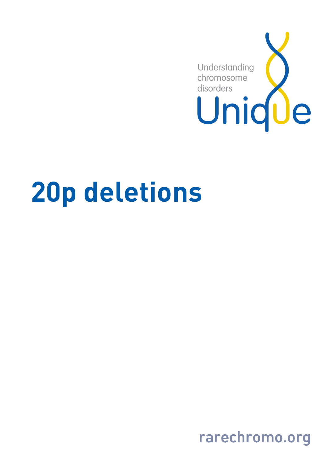

# 20p deletions

rarechromo.org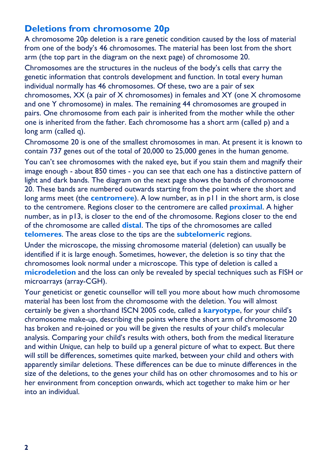# Deletions from chromosome 20p

A chromosome 20p deletion is a rare genetic condition caused by the loss of material from one of the body's 46 chromosomes. The material has been lost from the short arm (the top part in the diagram on the next page) of chromosome 20.

Chromosomes are the structures in the nucleus of the body's cells that carry the genetic information that controls development and function. In total every human individual normally has 46 chromosomes. Of these, two are a pair of sex chromosomes, XX (a pair of X chromosomes) in females and XY (one X chromosome and one Y chromosome) in males. The remaining 44 chromosomes are grouped in pairs. One chromosome from each pair is inherited from the mother while the other one is inherited from the father. Each chromosome has a short arm (called p) and a long arm (called q).

Chromosome 20 is one of the smallest chromosomes in man. At present it is known to contain 737 genes out of the total of 20,000 to 25,000 genes in the human genome.

You can't see chromosomes with the naked eye, but if you stain them and magnify their image enough - about 850 times - you can see that each one has a distinctive pattern of light and dark bands. The diagram on the next page shows the bands of chromosome 20. These bands are numbered outwards starting from the point where the short and long arms meet (the **centromere**). A low number, as in p11 in the short arm, is close to the centromere. Regions closer to the centromere are called **proximal**. A higher number, as in p13, is closer to the end of the chromosome. Regions closer to the end of the chromosome are called **distal**. The tips of the chromosomes are called telomeres. The areas close to the tips are the subtelomeric regions.

Under the microscope, the missing chromosome material (deletion) can usually be identified if it is large enough. Sometimes, however, the deletion is so tiny that the chromosomes look normal under a microscope. This type of deletion is called a microdeletion and the loss can only be revealed by special techniques such as FISH or microarrays (array-CGH).

Your geneticist or genetic counsellor will tell you more about how much chromosome material has been lost from the chromosome with the deletion. You will almost certainly be given a shorthand ISCN 2005 code, called a **karyotype**, for your child's chromosome make-up, describing the points where the short arm of chromosome 20 has broken and re-joined or you will be given the results of your child's molecular analysis. Comparing your child's results with others, both from the medical literature and within Unique, can help to build up a general picture of what to expect. But there will still be differences, sometimes quite marked, between your child and others with apparently similar deletions. These differences can be due to minute differences in the size of the deletions, to the genes your child has on other chromosomes and to his or her environment from conception onwards, which act together to make him or her into an individual.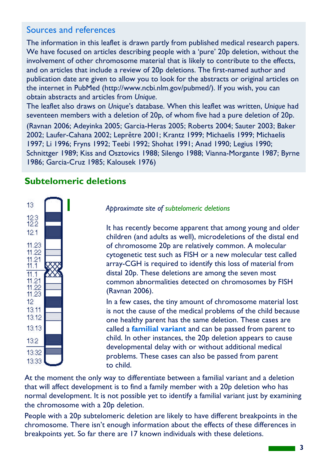### Sources and references

The information in this leaflet is drawn partly from published medical research papers. We have focused on articles describing people with a 'pure' 20p deletion, without the involvement of other chromosome material that is likely to contribute to the effects, and on articles that include a review of 20p deletions. The first-named author and publication date are given to allow you to look for the abstracts or original articles on the internet in PubMed (http://www.ncbi.nlm.gov/pubmed/). If you wish, you can obtain abstracts and articles from Unique.

The leaflet also draws on Unique's database. When this leaflet was written, Unique had seventeen members with a deletion of 20p, of whom five had a pure deletion of 20p.

(Ravnan 2006; Adeyinka 2005; Garcia-Heras 2005; Roberts 2004; Sauter 2003; Baker 2002; Laufer-Cahana 2002; Leprêtre 2001; Krantz 1999; Michaelis 1999; Michaelis 1997; Li 1996; Fryns 1992; Teebi 1992; Shohat 1991; Anad 1990; Legius 1990; Schnittger 1989; Kiss and Osztovics 1988; Silengo 1988; Vianna-Morgante 1987; Byrne 1986; Garcia-Cruz 1985; Kalousek 1976)

## Subtelomeric deletions



Approximate site of subtelomeric deletions

It has recently become apparent that among young and older children (and adults as well), microdeletions of the distal end of chromosome 20p are relatively common. A molecular cytogenetic test such as FISH or a new molecular test called array-CGH is required to identify this loss of material from distal 20p. These deletions are among the seven most common abnormalities detected on chromosomes by FISH (Ravnan 2006).

In a few cases, the tiny amount of chromosome material lost is not the cause of the medical problems of the child because one healthy parent has the same deletion. These cases are called a **familial variant** and can be passed from parent to child. In other instances, the 20p deletion appears to cause developmental delay with or without additional medical problems. These cases can also be passed from parent to child.

At the moment the only way to differentiate between a familial variant and a deletion that will affect development is to find a family member with a 20p deletion who has normal development. It is not possible yet to identify a familial variant just by examining the chromosome with a 20p deletion.

People with a 20p subtelomeric deletion are likely to have different breakpoints in the chromosome. There isn't enough information about the effects of these differences in breakpoints yet. So far there are 17 known individuals with these deletions.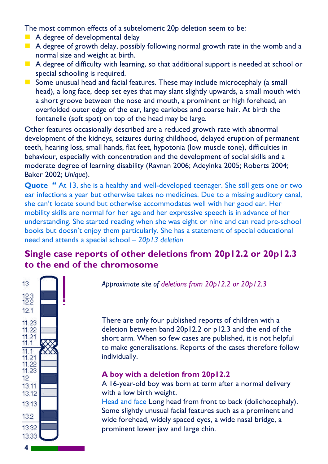The most common effects of a subtelomeric 20p deletion seem to be:

- A degree of developmental delay
- $\blacksquare$  A degree of growth delay, possibly following normal growth rate in the womb and a normal size and weight at birth.
- $\blacksquare$  A degree of difficulty with learning, so that additional support is needed at school or special schooling is required.
- Some unusual head and facial features. These may include microcephaly (a small head), a long face, deep set eyes that may slant slightly upwards, a small mouth with a short groove between the nose and mouth, a prominent or high forehead, an overfolded outer edge of the ear, large earlobes and coarse hair. At birth the fontanelle (soft spot) on top of the head may be large.

Other features occasionally described are a reduced growth rate with abnormal development of the kidneys, seizures during childhood, delayed eruption of permanent teeth, hearing loss, small hands, flat feet, hypotonia (low muscle tone), difficulties in behaviour, especially with concentration and the development of social skills and a moderate degree of learning disability (Ravnan 2006; Adeyinka 2005; Roberts 2004; Baker 2002; Unique).

Quote "At 13, she is a healthy and well-developed teenager. She still gets one or two ear infections a year but otherwise takes no medicines. Due to a missing auditory canal, she can't locate sound but otherwise accommodates well with her good ear. Her mobility skills are normal for her age and her expressive speech is in advance of her understanding. She started reading when she was eight or nine and can read pre-school books but doesn't enjoy them particularly. She has a statement of special educational need and attends a special school – 20p13 deletion

# Single case reports of other deletions from 20p12.2 or 20p12.3 to the end of the chromosome



Approximate site of deletions from 20p12.2 or 20p12.3

There are only four published reports of children with a deletion between band 20p12.2 or p12.3 and the end of the short arm. When so few cases are published, it is not helpful to make generalisations. Reports of the cases therefore follow individually.

#### A boy with a deletion from 20p12.2

A 16-year-old boy was born at term after a normal delivery with a low birth weight.

Head and face Long head from front to back (dolichocephaly). Some slightly unusual facial features such as a prominent and wide forehead, widely spaced eyes, a wide nasal bridge, a prominent lower jaw and large chin.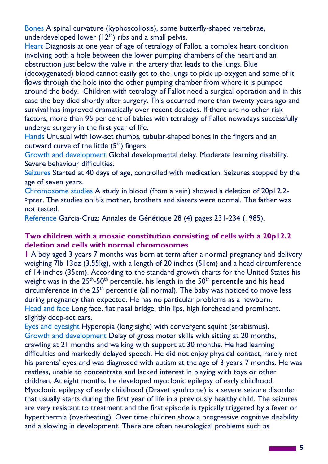Bones A spinal curvature (kyphoscoliosis), some butterfly-shaped vertebrae, underdeveloped lower  $(12<sup>th</sup>)$  ribs and a small pelvis.

Heart Diagnosis at one year of age of tetralogy of Fallot, a complex heart condition involving both a hole between the lower pumping chambers of the heart and an obstruction just below the valve in the artery that leads to the lungs. Blue (deoxygenated) blood cannot easily get to the lungs to pick up oxygen and some of it flows through the hole into the other pumping chamber from where it is pumped around the body. Children with tetralogy of Fallot need a surgical operation and in this case the boy died shortly after surgery. This occurred more than twenty years ago and survival has improved dramatically over recent decades. If there are no other risk factors, more than 95 per cent of babies with tetralogy of Fallot nowadays successfully undergo surgery in the first year of life.

Hands Unusual with low-set thumbs, tubular-shaped bones in the fingers and an outward curve of the little  $(5<sup>th</sup>)$  fingers.

Growth and development Global developmental delay. Moderate learning disability. Severe behaviour difficulties.

Seizures Started at 40 days of age, controlled with medication. Seizures stopped by the age of seven years.

Chromosome studies A study in blood (from a vein) showed a deletion of 20p12.2- >pter. The studies on his mother, brothers and sisters were normal. The father was not tested.

Reference Garcia-Cruz; Annales de Génétique 28 (4) pages 231-234 (1985).

#### Two children with a mosaic constitution consisting of cells with a 20p12.2 deletion and cells with normal chromosomes

1 A boy aged 3 years 7 months was born at term after a normal pregnancy and delivery weighing 7lb 13oz (3.55kg), with a length of 20 inches (51cm) and a head circumference of 14 inches (35cm). According to the standard growth charts for the United States his weight was in the  $25<sup>th</sup> - 50<sup>th</sup>$  percentile, his length in the  $50<sup>th</sup>$  percentile and his head circumference in the 25<sup>th</sup> percentile (all normal). The baby was noticed to move less during pregnancy than expected. He has no particular problems as a newborn. Head and face Long face, flat nasal bridge, thin lips, high forehead and prominent, slightly deep-set ears.

Eyes and eyesight Hyperopia (long sight) with convergent squint (strabismus). Growth and development Delay of gross motor skills with sitting at 20 months, crawling at 21 months and walking with support at 30 months. He had learning difficulties and markedly delayed speech. He did not enjoy physical contact, rarely met his parents' eyes and was diagnosed with autism at the age of 3 years 7 months. He was restless, unable to concentrate and lacked interest in playing with toys or other children. At eight months, he developed myoclonic epilepsy of early childhood. Myoclonic epilepsy of early childhood (Dravet syndrome) is a severe seizure disorder that usually starts during the first year of life in a previously healthy child. The seizures are very resistant to treatment and the first episode is typically triggered by a fever or hyperthermia (overheating). Over time children show a progressive cognitive disability and a slowing in development. There are often neurological problems such as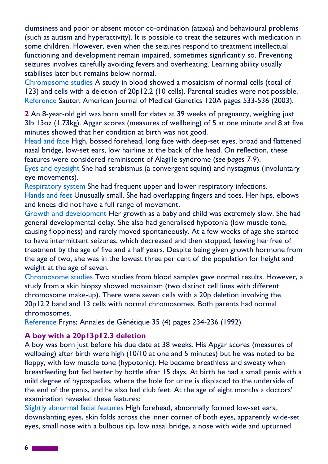clumsiness and poor or absent motor co-ordination (ataxia) and behavioural problems (such as autism and hyperactivity). It is possible to treat the seizures with medication in some children. However, even when the seizures respond to treatment intellectual functioning and development remain impaired, sometimes significantly so. Preventing seizures involves carefully avoiding fevers and overheating. Learning ability usually stabilises later but remains below normal.

Chromosome studies A study in blood showed a mosaicism of normal cells (total of 123) and cells with a deletion of 20p12.2 (10 cells). Parental studies were not possible. Reference Sauter; American Journal of Medical Genetics 120A pages 533-536 (2003).

2 An 8-year-old girl was born small for dates at 39 weeks of pregnancy, weighing just 3lb 13oz (1.73kg). Apgar scores (measures of wellbeing) of 5 at one minute and 8 at five minutes showed that her condition at birth was not good.

Head and face High, bossed forehead, long face with deep-set eyes, broad and flattened nasal bridge, low-set ears, low hairline at the back of the head. On reflection, these features were considered reminiscent of Alagille syndrome (see pages 7-9).

Eyes and eyesight She had strabismus (a convergent squint) and nystagmus (involuntary eye movements).

Respiratory system She had frequent upper and lower respiratory infections. Hands and feet Unusually small. She had overlapping fingers and toes. Her hips, elbows and knees did not have a full range of movement.

Growth and development Her growth as a baby and child was extremely slow. She had general developmental delay. She also had generalised hypotonia (low muscle tone, causing floppiness) and rarely moved spontaneously. At a few weeks of age she started to have intermittent seizures, which decreased and then stopped, leaving her free of treatment by the age of five and a half years. Despite being given growth hormone from the age of two, she was in the lowest three per cent of the population for height and weight at the age of seven.

Chromosome studies Two studies from blood samples gave normal results. However, a study from a skin biopsy showed mosaicism (two distinct cell lines with different chromosome make-up). There were seven cells with a 20p deletion involving the 20p12.2 band and 13 cells with normal chromosomes. Both parents had normal chromosomes.

Reference Fryns; Annales de Génétique 35 (4) pages 234-236 (1992)

#### A boy with a 20p13p12.3 deletion

A boy was born just before his due date at 38 weeks. His Apgar scores (measures of wellbeing) after birth were high (10/10 at one and 5 minutes) but he was noted to be floppy, with low muscle tone (hypotonic). He became breathless and sweaty when breastfeeding but fed better by bottle after 15 days. At birth he had a small penis with a mild degree of hypospadias, where the hole for urine is displaced to the underside of the end of the penis, and he also had club feet. At the age of eight months a doctors' examination revealed these features:

Slightly abnormal facial features High forehead, abnormally formed low-set ears, downslanting eyes, skin folds across the inner corner of both eyes, apparently wide-set eyes, small nose with a bulbous tip, low nasal bridge, a nose with wide and upturned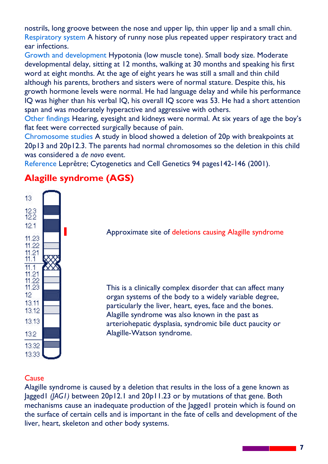nostrils, long groove between the nose and upper lip, thin upper lip and a small chin. Respiratory system A history of runny nose plus repeated upper respiratory tract and ear infections.

Growth and development Hypotonia (low muscle tone). Small body size. Moderate developmental delay, sitting at 12 months, walking at 30 months and speaking his first word at eight months. At the age of eight years he was still a small and thin child although his parents, brothers and sisters were of normal stature. Despite this, his growth hormone levels were normal. He had language delay and while his performance IQ was higher than his verbal IQ, his overall IQ score was 53. He had a short attention span and was moderately hyperactive and aggressive with others.

Other findings Hearing, eyesight and kidneys were normal. At six years of age the boy's flat feet were corrected surgically because of pain.

Chromosome studies A study in blood showed a deletion of 20p with breakpoints at 20p13 and 20p12.3. The parents had normal chromosomes so the deletion in this child was considered a de novo event.

Reference Leprêtre; Cytogenetics and Cell Genetics 94 pages142-146 (2001).

# Alagille syndrome (AGS)



Approximate site of deletions causing Alagille syndrome

This is a clinically complex disorder that can affect many organ systems of the body to a widely variable degree, particularly the liver, heart, eyes, face and the bones. Alagille syndrome was also known in the past as arteriohepatic dysplasia, syndromic bile duct paucity or Alagille-Watson syndrome.

#### **Cause**

Alagille syndrome is caused by a deletion that results in the loss of a gene known as Jagged1 (JAG1) between 20p12.1 and 20p11.23 or by mutations of that gene. Both mechanisms cause an inadequate production of the Jagged1 protein which is found on the surface of certain cells and is important in the fate of cells and development of the liver, heart, skeleton and other body systems.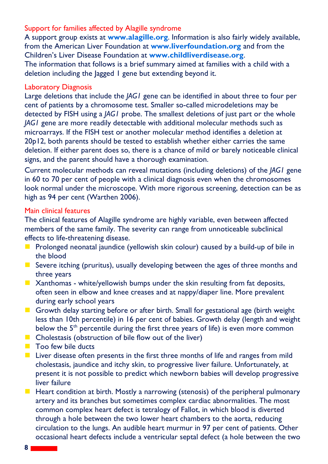#### Support for families affected by Alagille syndrome

A support group exists at www.alagille.org. Information is also fairly widely available, from the American Liver Foundation at www.liverfoundation.org and from the Children's Liver Disease Foundation at www.childliverdisease.org. The information that follows is a brief summary aimed at families with a child with a deletion including the lagged 1 gene but extending beyond it.

#### Laboratory Diagnosis

Large deletions that include the JAG1 gene can be identified in about three to four per cent of patients by a chromosome test. Smaller so-called microdeletions may be detected by FISH using a *JAG1* probe. The smallest deletions of just part or the whole JAG1 gene are more readily detectable with additional molecular methods such as microarrays. If the FISH test or another molecular method identifies a deletion at 20p12, both parents should be tested to establish whether either carries the same deletion. If either parent does so, there is a chance of mild or barely noticeable clinical signs, and the parent should have a thorough examination.

Current molecular methods can reveal mutations (including deletions) of the JAG1 gene in 60 to 70 per cent of people with a clinical diagnosis even when the chromosomes look normal under the microscope. With more rigorous screening, detection can be as high as 94 per cent (Warthen 2006).

#### Main clinical features

The clinical features of Alagille syndrome are highly variable, even between affected members of the same family. The severity can range from unnoticeable subclinical effects to life-threatening disease.

- **Prolonged neonatal jaundice (yellowish skin colour) caused by a build-up of bile in** the blood
- Severe itching (pruritus), usually developing between the ages of three months and three years
- $\blacksquare$  Xanthomas white/yellowish bumps under the skin resulting from fat deposits, often seen in elbow and knee creases and at nappy/diaper line. More prevalent during early school years
- Growth delay starting before or after birth. Small for gestational age (birth weight less than 10th percentile) in 16 per cent of babies. Growth delay (length and weight below the 5<sup>th</sup> percentile during the first three years of life) is even more common
- $\blacksquare$  Cholestasis (obstruction of bile flow out of the liver)
- **Too few bile ducts**
- $\blacksquare$  Liver disease often presents in the first three months of life and ranges from mild cholestasis, jaundice and itchy skin, to progressive liver failure. Unfortunately, at present it is not possible to predict which newborn babies will develop progressive liver failure
- $\blacksquare$  Heart condition at birth. Mostly a narrowing (stenosis) of the peripheral pulmonary artery and its branches but sometimes complex cardiac abnormalities. The most common complex heart defect is tetralogy of Fallot, in which blood is diverted through a hole between the two lower heart chambers to the aorta, reducing circulation to the lungs. An audible heart murmur in 97 per cent of patients. Other occasional heart defects include a ventricular septal defect (a hole between the two

a a shekara ta 1970.<br>Matukio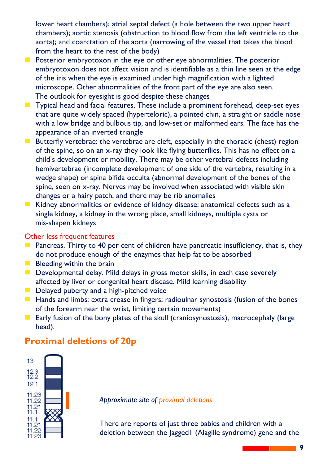lower heart chambers); atrial septal defect (a hole between the two upper heart chambers); aortic stenosis (obstruction to blood flow from the left ventricle to the aorta); and coarctation of the aorta (narrowing of the vessel that takes the blood from the heart to the rest of the body)

- $\blacksquare$  Posterior embryotoxon in the eye or other eye abnormalities. The posterior embryotoxon does not affect vision and is identifiable as a thin line seen at the edge of the iris when the eye is examined under high magnification with a lighted microscope. Other abnormalities of the front part of the eye are also seen. The outlook for eyesight is good despite these changes
- Typical head and facial features. These include a prominent forehead, deep-set eyes that are quite widely spaced (hyperteloric), a pointed chin, a straight or saddle nose with a low bridge and bulbous tip, and low-set or malformed ears. The face has the appearance of an inverted triangle
- Butterfly vertebrae: the vertebrae are cleft, especially in the thoracic (chest) region of the spine, so on an x-ray they look like flying butterflies. This has no effect on a child's development or mobility. There may be other vertebral defects including hemivertebrae (incomplete development of one side of the vertebra, resulting in a wedge shape) or spina bifida occulta (abnormal development of the bones of the spine, seen on x-ray. Nerves may be involved when associated with visible skin changes or a hairy patch, and there may be rib anomalies
- Kidney abnormalities or evidence of kidney disease: anatomical defects such as a single kidney, a kidney in the wrong place, small kidneys, multiple cysts or mis-shapen kidneys

#### Other less frequent features

- **Pancreas. Thirty to 40 per cent of children have pancreatic insufficiency, that is, they** do not produce enough of the enzymes that help fat to be absorbed
- $\blacksquare$  Bleeding within the brain
- Developmental delay. Mild delays in gross motor skills, in each case severely affected by liver or congenital heart disease. Mild learning disability
- Delayed puberty and a high-pitched voice
- $\blacksquare$  Hands and limbs: extra crease in fingers; radioulnar synostosis (fusion of the bones of the forearm near the wrist, limiting certain movements)
- **Early fusion of the bony plates of the skull (craniosynostosis), macrocephaly (large** head).

# Proximal deletions of 20p



Approximate site of proximal deletions

There are reports of just three babies and children with a deletion between the Jagged1 (Alagille syndrome) gene and the

9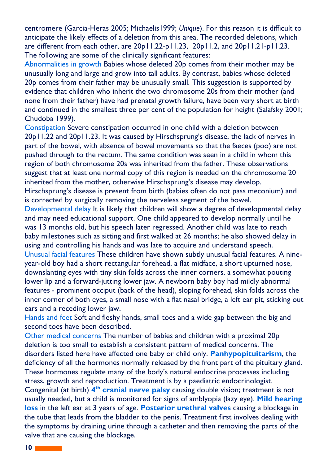centromere (Garcia-Heras 2005; Michaelis1999; Unique). For this reason it is difficult to anticipate the likely effects of a deletion from this area. The recorded deletions, which are different from each other, are 20p11.22-p11.23, 20p11.2, and 20p11.21-p11.23. The following are some of the clinically significant features:

Abnormalities in growth Babies whose deleted 20p comes from their mother may be unusually long and large and grow into tall adults. By contrast, babies whose deleted 20p comes from their father may be unusually small. This suggestion is supported by evidence that children who inherit the two chromosome 20s from their mother (and none from their father) have had prenatal growth failure, have been very short at birth and continued in the smallest three per cent of the population for height (Salafsky 2001; Chudoba 1999).

Constipation Severe constipation occurred in one child with a deletion between 20p11.22 and 20p11.23. It was caused by Hirschsprung's disease, the lack of nerves in part of the bowel, with absence of bowel movements so that the faeces (poo) are not pushed through to the rectum. The same condition was seen in a child in whom this region of both chromosome 20s was inherited from the father. These observations suggest that at least one normal copy of this region is needed on the chromosome 20 inherited from the mother, otherwise Hirschsprung's disease may develop. Hirschsprung's disease is present from birth (babies often do not pass meconium) and is corrected by surgically removing the nerveless segment of the bowel.

Developmental delay It is likely that children will show a degree of developmental delay and may need educational support. One child appeared to develop normally until he was 13 months old, but his speech later regressed. Another child was late to reach baby milestones such as sitting and first walked at 26 months; he also showed delay in using and controlling his hands and was late to acquire and understand speech.

Unusual facial features These children have shown subtly unusual facial features. A nineyear-old boy had a short rectangular forehead, a flat midface, a short upturned nose, downslanting eyes with tiny skin folds across the inner corners, a somewhat pouting lower lip and a forward-jutting lower jaw. A newborn baby boy had mildly abnormal features - prominent occiput (back of the head), sloping forehead, skin folds across the inner corner of both eyes, a small nose with a flat nasal bridge, a left ear pit, sticking out ears and a receding lower jaw.

Hands and feet Soft and fleshy hands, small toes and a wide gap between the big and second toes have been described.

Other medical concerns The number of babies and children with a proximal 20p deletion is too small to establish a consistent pattern of medical concerns. The disorders listed here have affected one baby or child only. Panhypopituitarism, the deficiency of all the hormones normally released by the front part of the pituitary gland. These hormones regulate many of the body's natural endocrine processes including stress, growth and reproduction. Treatment is by a paediatric endocrinologist. Congenital (at birth) 4<sup>th</sup> cranial nerve palsy causing double vision; treatment is not usually needed, but a child is monitored for signs of amblyopia (lazy eye). Mild hearing loss in the left ear at 3 years of age. Posterior urethral valves causing a blockage in the tube that leads from the bladder to the penis. Treatment first involves dealing with the symptoms by draining urine through a catheter and then removing the parts of the valve that are causing the blockage.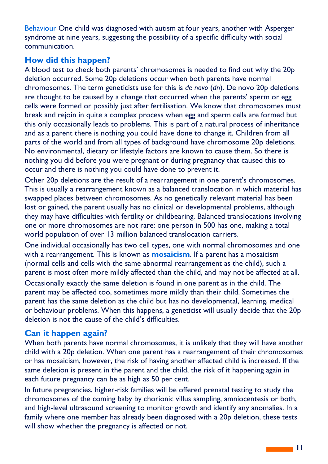Behaviour One child was diagnosed with autism at four years, another with Asperger syndrome at nine years, suggesting the possibility of a specific difficulty with social communication.

#### How did this happen?

A blood test to check both parents' chromosomes is needed to find out why the 20p deletion occurred. Some 20p deletions occur when both parents have normal chromosomes. The term geneticists use for this is de novo (dn). De novo 20p deletions are thought to be caused by a change that occurred when the parents' sperm or egg cells were formed or possibly just after fertilisation. We know that chromosomes must break and rejoin in quite a complex process when egg and sperm cells are formed but this only occasionally leads to problems. This is part of a natural process of inheritance and as a parent there is nothing you could have done to change it. Children from all parts of the world and from all types of background have chromosome 20p deletions. No environmental, dietary or lifestyle factors are known to cause them. So there is nothing you did before you were pregnant or during pregnancy that caused this to occur and there is nothing you could have done to prevent it.

Other 20p deletions are the result of a rearrangement in one parent's chromosomes. This is usually a rearrangement known as a balanced translocation in which material has swapped places between chromosomes. As no genetically relevant material has been lost or gained, the parent usually has no clinical or developmental problems, although they may have difficulties with fertility or childbearing. Balanced translocations involving one or more chromosomes are not rare: one person in 500 has one, making a total world population of over 13 million balanced translocation carriers.

One individual occasionally has two cell types, one with normal chromosomes and one with a rearrangement. This is known as **mosaicism**. If a parent has a mosaicism (normal cells and cells with the same abnormal rearrangement as the child), such a parent is most often more mildly affected than the child, and may not be affected at all.

Occasionally exactly the same deletion is found in one parent as in the child. The parent may be affected too, sometimes more mildly than their child. Sometimes the parent has the same deletion as the child but has no developmental, learning, medical or behaviour problems. When this happens, a geneticist will usually decide that the 20p deletion is not the cause of the child's difficulties.

#### Can it happen again?

When both parents have normal chromosomes, it is unlikely that they will have another child with a 20p deletion. When one parent has a rearrangement of their chromosomes or has mosaicism, however, the risk of having another affected child is increased. If the same deletion is present in the parent and the child, the risk of it happening again in each future pregnancy can be as high as 50 per cent.

In future pregnancies, higher-risk families will be offered prenatal testing to study the chromosomes of the coming baby by chorionic villus sampling, amniocentesis or both, and high-level ultrasound screening to monitor growth and identify any anomalies. In a family where one member has already been diagnosed with a 20p deletion, these tests will show whether the pregnancy is affected or not.